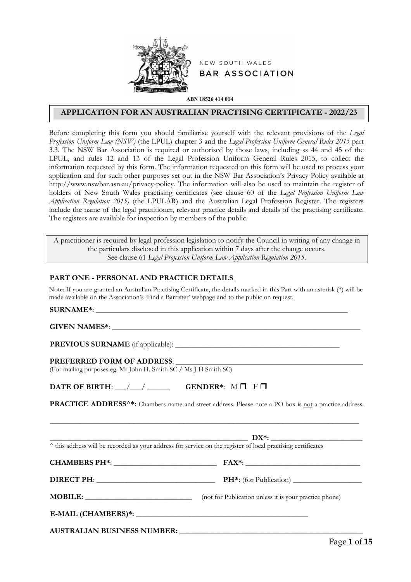

NEW SOUTH WALES **BAR ASSOCIATION** 

**ABN 18526 414 014**

# **APPLICATION FOR AN AUSTRALIAN PRACTISING CERTIFICATE - 2022/23**

Before completing this form you should familiarise yourself with the relevant provisions of the *Legal Profession Uniform Law (NSW)* (the LPUL) chapter 3 and the *Legal Profession Uniform General Rules 2015* part 3.3. The NSW Bar Association is required or authorised by those laws, including ss 44 and 45 of the LPUL, and rules 12 and 13 of the Legal Profession Uniform General Rules 2015, to collect the information requested by this form. The information requested on this form will be used to process your application and for such other purposes set out in the NSW Bar Association's Privacy Policy available at http://www.nswbar.asn.au/privacy-policy. The information will also be used to maintain the register of holders of New South Wales practising certificates (see clause 60 of the *Legal Profession Uniform Law Application Regulation 2015)* (the LPULAR) and the Australian Legal Profession Register. The registers include the name of the legal practitioner, relevant practice details and details of the practising certificate. The registers are available for inspection by members of the public.

A practitioner is required by legal profession legislation to notify the Council in writing of any change in the particulars disclosed in this application within 7 days after the change occurs. See clause 61 *Legal Profession Uniform Law Application Regulation 2015*.

# **PART ONE - PERSONAL AND PRACTICE DETAILS**

Note: If you are granted an Australian Practising Certificate, the details marked in this Part with an asterisk (\*) will be made available on the Association's 'Find a Barrister' webpage and to the public on request.

SURNAME\*:

**GIVEN NAMES\*:** 

**PREVIOUS SURNAME** (if applicable): \_\_\_\_\_\_\_\_\_\_\_\_\_\_\_\_\_\_\_\_\_\_\_\_\_\_\_\_\_\_\_\_\_\_\_\_\_\_\_\_\_\_\_

#### PREFERRED FORM OF ADDRESS:

(For mailing purposes eg. Mr John H. Smith SC / Ms J H Smith SC)

**DATE OF BIRTH:** \_\_\_/ \_\_\_/ \_\_\_\_\_\_ **GENDER\***: M **D** F **D** 

PRACTICE ADDRESS<sup>^\*</sup>: Chambers name and street address. Please note a PO box is not a practice address.

\_\_\_\_\_\_\_\_\_\_\_\_\_\_\_\_\_\_\_\_\_\_\_\_\_\_\_\_\_\_\_\_\_\_\_\_\_\_\_\_\_\_\_\_\_\_\_\_\_\_\_\_\_\_\_\_\_\_\_\_\_\_\_\_\_\_\_\_\_\_\_\_\_\_\_\_\_\_\_\_\_

|                                                                                                                        | $DX^*$ :                                               |  |  |  |
|------------------------------------------------------------------------------------------------------------------------|--------------------------------------------------------|--|--|--|
| $^{\wedge}$ this address will be recorded as your address for service on the register of local practising certificates |                                                        |  |  |  |
|                                                                                                                        |                                                        |  |  |  |
|                                                                                                                        | <b>PH<sup>*</sup>:</b> (for Publication)               |  |  |  |
|                                                                                                                        | (not for Publication unless it is your practice phone) |  |  |  |
|                                                                                                                        |                                                        |  |  |  |
| <b>AUSTRALIAN BUSINESS NUMBER:</b>                                                                                     |                                                        |  |  |  |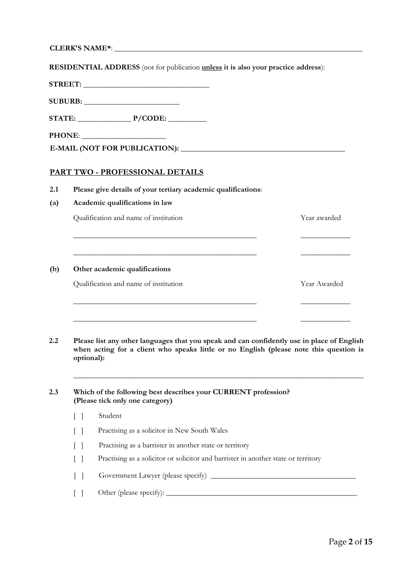| RESIDENTIAL ADDRESS (not for publication <i>unless</i> it is also your practice address): |                                                                                                                                                                                                                               |                                                                                                                           |  |  |  |  |
|-------------------------------------------------------------------------------------------|-------------------------------------------------------------------------------------------------------------------------------------------------------------------------------------------------------------------------------|---------------------------------------------------------------------------------------------------------------------------|--|--|--|--|
|                                                                                           |                                                                                                                                                                                                                               |                                                                                                                           |  |  |  |  |
|                                                                                           | <b>SUBURB:</b> ________________________                                                                                                                                                                                       |                                                                                                                           |  |  |  |  |
|                                                                                           |                                                                                                                                                                                                                               |                                                                                                                           |  |  |  |  |
|                                                                                           | PHONE:                                                                                                                                                                                                                        |                                                                                                                           |  |  |  |  |
|                                                                                           |                                                                                                                                                                                                                               |                                                                                                                           |  |  |  |  |
|                                                                                           | PART TWO - PROFESSIONAL DETAILS                                                                                                                                                                                               |                                                                                                                           |  |  |  |  |
| 2.1                                                                                       | Please give details of your tertiary academic qualifications:                                                                                                                                                                 |                                                                                                                           |  |  |  |  |
| $\left( a\right)$                                                                         | Academic qualifications in law                                                                                                                                                                                                |                                                                                                                           |  |  |  |  |
|                                                                                           | Qualification and name of institution                                                                                                                                                                                         | Year awarded                                                                                                              |  |  |  |  |
|                                                                                           |                                                                                                                                                                                                                               | <u> 1989 - Johann Stoff, deutscher Stoff</u>                                                                              |  |  |  |  |
|                                                                                           |                                                                                                                                                                                                                               | <u> Listen van die Stad van die Stad van die Stad van die Stad van die Stad van die Stad van die Stad van die Stad va</u> |  |  |  |  |
| (b)                                                                                       | Other academic qualifications                                                                                                                                                                                                 |                                                                                                                           |  |  |  |  |
|                                                                                           | Qualification and name of institution                                                                                                                                                                                         | Year Awarded                                                                                                              |  |  |  |  |
|                                                                                           |                                                                                                                                                                                                                               |                                                                                                                           |  |  |  |  |
|                                                                                           | the control of the control of the control of the control of the control of the control of the control of the control of the control of the control of the control of the control of the control of the control of the control |                                                                                                                           |  |  |  |  |
| $2.2\,$                                                                                   | Please list any other languages that you speak and can confidently use in place of English<br>when acting for a client who speaks little or no English (please note this question is<br>optional):                            |                                                                                                                           |  |  |  |  |
| 2.3                                                                                       | Which of the following best describes your CURRENT profession?<br>(Please tick only one category)                                                                                                                             |                                                                                                                           |  |  |  |  |
|                                                                                           | Student<br>$[ \quad ]$                                                                                                                                                                                                        |                                                                                                                           |  |  |  |  |

- [ ] Practising as a solicitor in New South Wales
- [ ] Practising as a barrister in another state or territory<br>[ ] Practising as a solicitor or solicitor and barrister in a
- Practising as a solicitor or solicitor and barrister in another state or territory
- [ ] Government Lawyer (please specify) \_\_\_\_\_\_\_\_\_\_\_\_\_\_\_\_\_\_\_\_\_\_\_\_\_\_\_\_\_\_\_\_\_\_\_\_\_\_
- [ ] Other (please specify): \_\_\_\_\_\_\_\_\_\_\_\_\_\_\_\_\_\_\_\_\_\_\_\_\_\_\_\_\_\_\_\_\_\_\_\_\_\_\_\_\_\_\_\_\_\_\_\_\_\_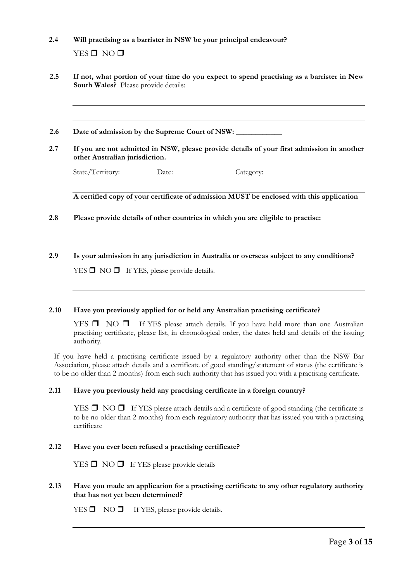- **2.4 Will practising as a barrister in NSW be your principal endeavour?**  YES  $\square$  NO  $\square$
- **2.5 If not, what portion of your time do you expect to spend practising as a barrister in New South Wales?** Please provide details:
- **2.6 Date of admission by the Supreme Court of NSW:** \_\_\_\_\_\_\_\_\_\_\_\_
- **2.7 If you are not admitted in NSW, please provide details of your first admission in another other Australian jurisdiction.**

State/Territory: Date: Category:

**A certified copy of your certificate of admission MUST be enclosed with this application** 

- **2.8 Please provide details of other countries in which you are eligible to practise:**
- **2.9 Is your admission in any jurisdiction in Australia or overseas subject to any conditions?**

YES  $\Box$  NO  $\Box$  If YES, please provide details.

#### **2.10 Have you previously applied for or held any Australian practising certificate?**

YES  $\Box$  NO  $\Box$  If YES please attach details. If you have held more than one Australian practising certificate, please list, in chronological order, the dates held and details of the issuing authority.

If you have held a practising certificate issued by a regulatory authority other than the NSW Bar Association, please attach details and a certificate of good standing/statement of status (the certificate is to be no older than 2 months) from each such authority that has issued you with a practising certificate.

#### **2.11 Have you previously held any practising certificate in a foreign country?**

YES  $\Box$  NO  $\Box$  If YES please attach details and a certificate of good standing (the certificate is to be no older than 2 months) from each regulatory authority that has issued you with a practising certificate

## **2.12 Have you ever been refused a practising certificate?**

YES  $\Box$  NO  $\Box$  If YES please provide details

#### **2.13 Have you made an application for a practising certificate to any other regulatory authority that has not yet been determined?**

YES  $\Box$  NO  $\Box$  If YES, please provide details.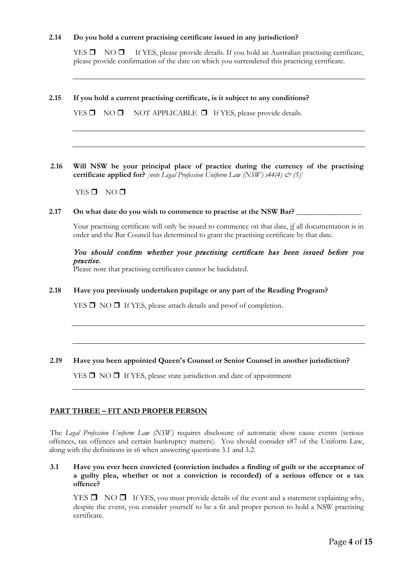## **2.14 Do you hold a current practising certificate issued in any jurisdiction?**

YES  $\Box$  NO  $\Box$  If YES, please provide details. If you hold an Australian practising certificate, please provide confirmation of the date on which you surrendered this practicing certificate.

#### **2.15 If you hold a current practising certificate, is it subject to any conditions?**

YES  $\Box$  NO  $\Box$  NOT APPLICABLE  $\Box$  If YES, please provide details.

**2.16 Will NSW be your principal place of practice during the currency of the practising certificate applied for?** *[note Legal Profession Uniform Law (NSW) s44(4) & (5)]*

YES  $\Box$  NO  $\Box$ 

#### **2.17 On what date do you wish to commence to practise at the NSW Bar? \_**\_\_\_\_\_\_\_\_\_\_\_\_\_\_\_\_

Your practising certificate will only be issued to commence on that date, if all documentation is in order and the Bar Council has determined to grant the practising certificate by that date.

# You should confirm whether your practising certificate has been issued before you practise.

Please note that practising certificates cannot be backdated.

## **2.18 Have you previously undertaken pupilage or any part of the Reading Program?**

YES  $\Box$  NO  $\Box$  If YES, please attach details and proof of completion.

## **2.19 Have you been appointed Queen's Counsel or Senior Counsel in another jurisdiction?**

YES  $\Box$  NO  $\Box$  If YES, please state jurisdiction and date of appointment

## **PART THREE – FIT AND PROPER PERSON**

The *Legal Profession Uniform Law (NSW)* requires disclosure of automatic show cause events (serious offences, tax offences and certain bankruptcy matters). You should consider s87 of the Uniform Law, along with the definitions in s6 when answering questions 3.1 and 3.2.

## **3.1 Have you ever been convicted (conviction includes a finding of guilt or the acceptance of a guilty plea, whether or not a conviction is recorded) of a serious offence or a tax offence?**

YES  $\Box$  NO  $\Box$  If YES, you must provide details of the event and a statement explaining why, despite the event, you consider yourself to be a fit and proper person to hold a NSW practising certificate.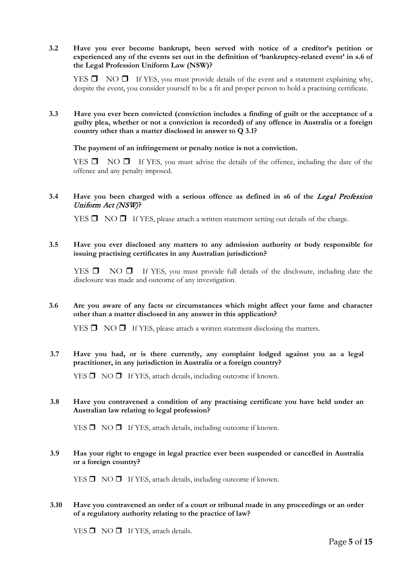## **3.2 Have you ever become bankrupt, been served with notice of a creditor's petition or experienced any of the events set out in the definition of 'bankruptcy-related event' in s.6 of the Legal Profession Uniform Law (NSW)?**

YES  $\Box$  NO  $\Box$  If YES, you must provide details of the event and a statement explaining why, despite the event, you consider yourself to be a fit and proper person to hold a practising certificate.

## **3.3 Have you ever been convicted (conviction includes a finding of guilt or the acceptance of a guilty plea, whether or not a conviction is recorded) of any offence in Australia or a foreign country other than a matter disclosed in answer to Q 3.1?**

**The payment of an infringement or penalty notice is not a conviction.** 

YES  $\Box$  NO  $\Box$  If YES, you must advise the details of the offence, including the date of the offence and any penalty imposed.

## **3.4 Have you been charged with a serious offence as defined in s6 of the** *Legal Profession* Uniform Act (NSW)**?**

YES  $\Box$  NO  $\Box$  If YES, please attach a written statement setting out details of the charge.

## **3.5 Have you ever disclosed any matters to any admission authority or body responsible for issuing practising certificates in any Australian jurisdiction?**

YES  $\Box$  NO  $\Box$  If YES, you must provide full details of the disclosure, including date the disclosure was made and outcome of any investigation.

## **3.6 Are you aware of any facts or circumstances which might affect your fame and character other than a matter disclosed in any answer in this application?**

YES  $\Box$  NO  $\Box$  If YES, please attach a written statement disclosing the matters.

# **3.7 Have you had, or is there currently, any complaint lodged against you as a legal practitioner, in any jurisdiction in Australia or a foreign country?**

YES  $\Box$  NO  $\Box$  If YES, attach details, including outcome if known.

## **3.8 Have you contravened a condition of any practising certificate you have held under an Australian law relating to legal profession?**

YES  $\Box$  NO  $\Box$  If YES, attach details, including outcome if known.

## **3.9 Has your right to engage in legal practice ever been suspended or cancelled in Australia or a foreign country?**

YES  $\Box$  NO  $\Box$  If YES, attach details, including outcome if known.

## **3.10 Have you contravened an order of a court or tribunal made in any proceedings or an order of a regulatory authority relating to the practice of law?**

YES  $\Box$  NO  $\Box$  If YES, attach details.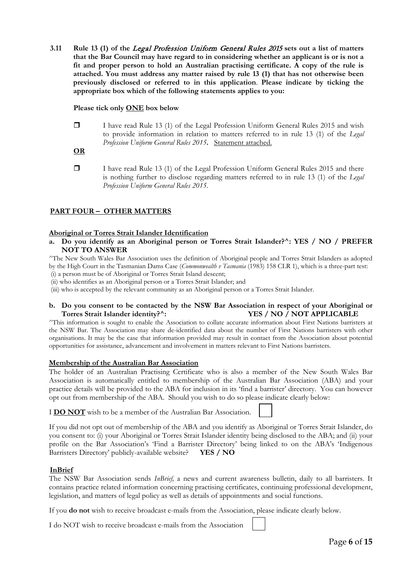**3.11 Rule 13 (1) of the** Legal Profession Uniform General Rules 2015 **sets out a list of matters that the Bar Council may have regard to in considering whether an applicant is or is not a fit and proper person to hold an Australian practising certificate. A copy of the rule is attached. You must address any matter raised by rule 13 (1) that has not otherwise been previously disclosed or referred to in this application**. **Please indicate by ticking the appropriate box which of the following statements applies to you:**

#### **Please tick only ONE box below**

- I have read Rule 13 (1) of the Legal Profession Uniform General Rules 2015 and wish to provide information in relation to matters referred to in rule 13 (1) of the *Legal Profession Uniform General Rules 2015***.** Statement attached.
- **OR**
- I have read Rule 13 (1) of the Legal Profession Uniform General Rules 2015 and there is nothing further to disclose regarding matters referred to in rule 13 (1) of the *Legal Profession Uniform General Rules 2015*.

# **PART FOUR – OTHER MATTERS**

#### **Aboriginal or Torres Strait Islander Identification**

**a. Do you identify as an Aboriginal person or Torres Strait Islander?^: YES / NO / PREFER NOT TO ANSWER**

^The New South Wales Bar Association uses the definition of Aboriginal people and Torres Strait Islanders as adopted by the High Court in the Tasmanian Dams Case (*Commonwealth v Tasmania* (1983) 158 CLR 1), which is a three-part test: (i) a person must be of Aboriginal or Torres Strait Island descent;

(ii) who identifies as an Aboriginal person or a Torres Strait Islander; and

(iii) who is accepted by the relevant community as an Aboriginal person or a Torres Strait Islander.

#### **b. Do you consent to be contacted by the NSW Bar Association in respect of your Aboriginal or Torres Strait Islander identity?^: YES / NO / NOT APPLICABLE**

^This information is sought to enable the Association to collate accurate information about First Nations barristers at the NSW Bar. The Association may share de-identified data about the number of First Nations barristers with other organisations. It may be the case that information provided may result in contact from the Association about potential opportunities for assistance, advancement and involvement in matters relevant to First Nations barristers.

#### **Membership of the Australian Bar Association**

The holder of an Australian Practising Certificate who is also a member of the New South Wales Bar Association is automatically entitled to membership of the Australian Bar Association (ABA) and your practice details will be provided to the ABA for inclusion in its 'find a barrister' directory. You can however opt out from membership of the ABA. Should you wish to do so please indicate clearly below:

I **DO NOT** wish to be a member of the Australian Bar Association.

If you did not opt out of membership of the ABA and you identify as Aboriginal or Torres Strait Islander, do you consent to: (i) your Aboriginal or Torres Strait Islander identity being disclosed to the ABA; and (ii) your profile on the Bar Association's 'Find a Barrister Directory' being linked to on the ABA's 'Indigenous Barristers Directory' publicly-available website? **YES / NO**

## **InBrief**

The NSW Bar Association sends *InBrief,* a news and current awareness bulletin, daily to all barristers. It contains practice related information concerning practising certificates, continuing professional development, legislation, and matters of legal policy as well as details of appointments and social functions.

If you **do not** wish to receive broadcast e-mails from the Association, please indicate clearly below.

I do NOT wish to receive broadcast e-mails from the Association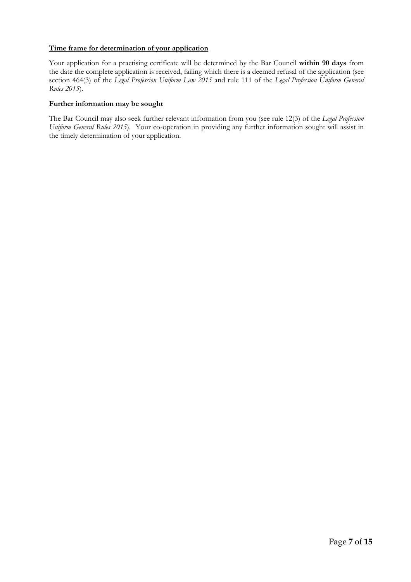#### **Time frame for determination of your application**

Your application for a practising certificate will be determined by the Bar Council **within 90 days** from the date the complete application is received, failing which there is a deemed refusal of the application (see section 464(3) of the *Legal Profession Uniform Law 2015* and rule 111 of the *Legal Profession Uniform General Rules 2015*).

#### **Further information may be sought**

The Bar Council may also seek further relevant information from you (see rule 12(3) of the *Legal Profession Uniform General Rules 2015*). Your co-operation in providing any further information sought will assist in the timely determination of your application.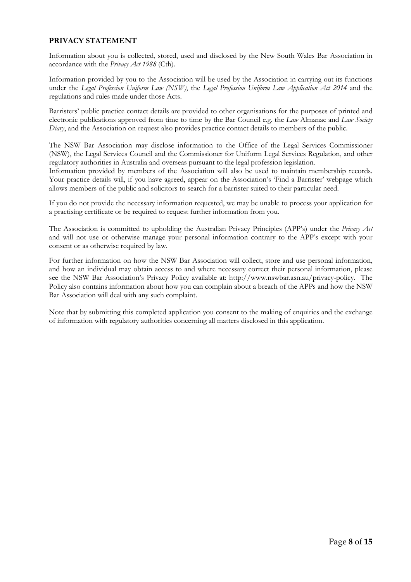# **PRIVACY STATEMENT**

Information about you is collected, stored, used and disclosed by the New South Wales Bar Association in accordance with the *Privacy Act 1988* (Cth).

Information provided by you to the Association will be used by the Association in carrying out its functions under the *Legal Profession Uniform Law (NSW)*, the *Legal Profession Uniform Law Application Act 2014* and the regulations and rules made under those Acts.

Barristers' public practice contact details are provided to other organisations for the purposes of printed and electronic publications approved from time to time by the Bar Council e.g. the *Law* Almanac and *Law Society Diary*, and the Association on request also provides practice contact details to members of the public.

The NSW Bar Association may disclose information to the Office of the Legal Services Commissioner (NSW), the Legal Services Council and the Commissioner for Uniform Legal Services Regulation, and other regulatory authorities in Australia and overseas pursuant to the legal profession legislation.

Information provided by members of the Association will also be used to maintain membership records. Your practice details will, if you have agreed, appear on the Association's 'Find a Barrister' webpage which allows members of the public and solicitors to search for a barrister suited to their particular need.

If you do not provide the necessary information requested, we may be unable to process your application for a practising certificate or be required to request further information from you.

The Association is committed to upholding the Australian Privacy Principles (APP's) under the *Privacy Act*  and will not use or otherwise manage your personal information contrary to the APP's except with your consent or as otherwise required by law.

For further information on how the NSW Bar Association will collect, store and use personal information, and how an individual may obtain access to and where necessary correct their personal information, please see the NSW Bar Association's Privacy Policy available at: http://www.nswbar.asn.au/privacy-policy. The Policy also contains information about how you can complain about a breach of the APPs and how the NSW Bar Association will deal with any such complaint.

Note that by submitting this completed application you consent to the making of enquiries and the exchange of information with regulatory authorities concerning all matters disclosed in this application.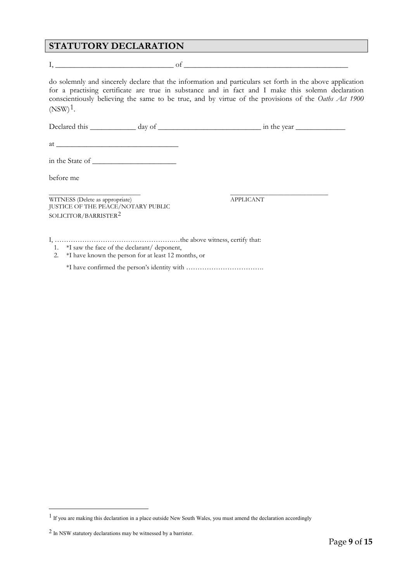# **STATUTORY DECLARATION**

| $(NSW)^1$ .                                                                                               | do solemnly and sincerely declare that the information and particulars set forth in the above application<br>for a practising certificate are true in substance and in fact and I make this solemn declaration<br>conscientiously believing the same to be true, and by virtue of the provisions of the Oaths Act 1900 |
|-----------------------------------------------------------------------------------------------------------|------------------------------------------------------------------------------------------------------------------------------------------------------------------------------------------------------------------------------------------------------------------------------------------------------------------------|
|                                                                                                           |                                                                                                                                                                                                                                                                                                                        |
|                                                                                                           |                                                                                                                                                                                                                                                                                                                        |
|                                                                                                           |                                                                                                                                                                                                                                                                                                                        |
| before me                                                                                                 |                                                                                                                                                                                                                                                                                                                        |
| WITNESS (Delete as appropriate)<br>JUSTICE OF THE PEACE/NOTARY PUBLIC<br>SOLICITOR/BARRISTER <sup>2</sup> | <b>APPLICANT</b>                                                                                                                                                                                                                                                                                                       |
| 1. *I saw the face of the declarant/ deponent,                                                            |                                                                                                                                                                                                                                                                                                                        |

2. \*I have known the person for at least 12 months, or

\*I have confirmed the person's identity with …………………………….

 $\overline{a}$ 

<span id="page-8-0"></span><sup>1</sup> If you are making this declaration in a place outside New South Wales, you must amend the declaration accordingly

<span id="page-8-1"></span><sup>2</sup> In NSW statutory declarations may be witnessed by a barrister.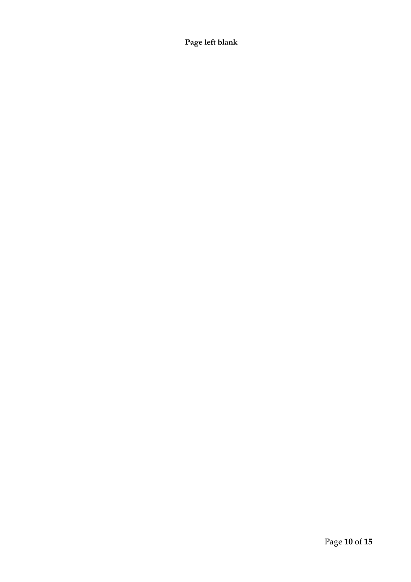**Page left blank**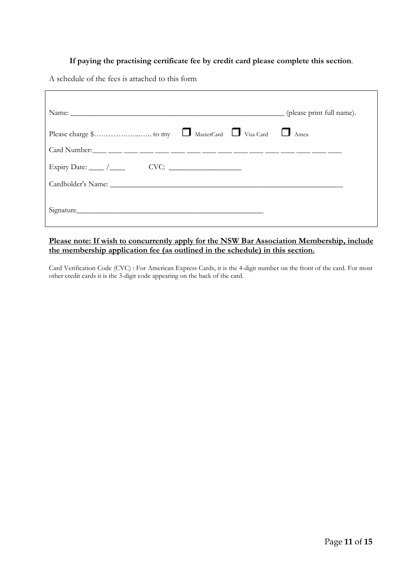# **If paying the practising certificate fee by credit card please complete this section**.

A schedule of the fees is attached to this form

| Signature |  |
|-----------|--|

# **Please note: If wish to concurrently apply for the NSW Bar Association Membership, include the membership application fee (as outlined in the schedule) in this section.**

Card Verification Code (CVC) : For American Express Cards, it is the 4-digit number on the front of the card. For most other credit cards it is the 3-digit code appearing on the back of the card.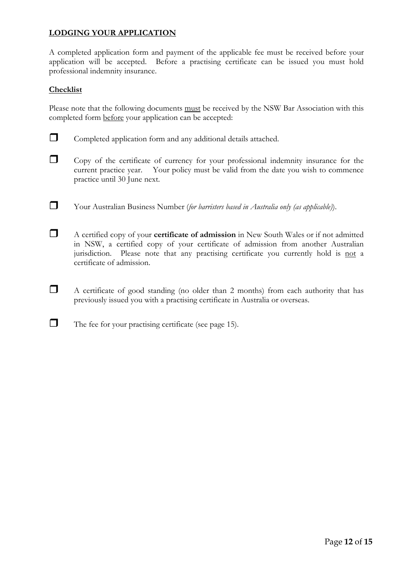# **LODGING YOUR APPLICATION**

A completed application form and payment of the applicable fee must be received before your application will be accepted. Before a practising certificate can be issued you must hold professional indemnity insurance.

# **Checklist**

Please note that the following documents must be received by the NSW Bar Association with this completed form before your application can be accepted:

Completed application form and any additional details attached.

- $\Box$  Copy of the certificate of currency for your professional indemnity insurance for the current practice year. Your policy must be valid from the date you wish to commence practice until 30 June next.
- Your Australian Business Number (*for barristers based in Australia only (as applicable)*).
- A certified copy of your **certificate of admission** in New South Wales or if not admitted in NSW, a certified copy of your certificate of admission from another Australian jurisdiction. Please note that any practising certificate you currently hold is not a certificate of admission.
- A certificate of good standing (no older than 2 months) from each authority that has previously issued you with a practising certificate in Australia or overseas.
- $\Box$  The fee for your practising certificate (see page 15).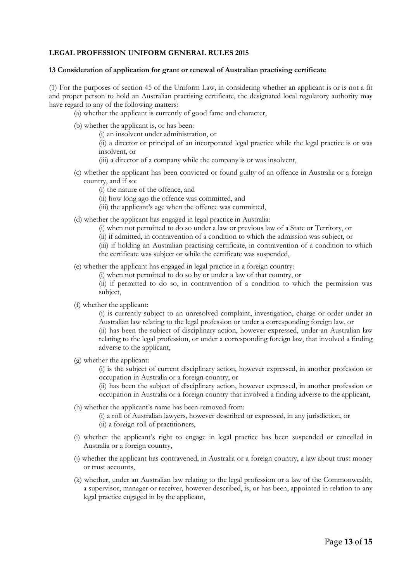#### **LEGAL PROFESSION UNIFORM GENERAL RULES 2015**

#### **13 Consideration of application for grant or renewal of Australian practising certificate**

(1) For the purposes of section 45 of the [Uniform Law,](http://www.austlii.edu.au/au/legis/nsw/consol_reg/lpugr2015372/s5.html#uniform_law) in considering whether an applicant is or is not a fit and proper person to hold an Australian practising certificate, the [designated local regulatory authority](http://www.austlii.edu.au/au/legis/nsw/consol_reg/lpugr2015372/s5.html#designated_local_regulatory_authority) may have regard to any of the following matters:

- (a) whether the applicant is currently of good fame and character,
- (b) whether the applicant is, or has been:

(i) an insolvent under administration, or

(ii) a director or principal of an [incorporated legal practice](http://www.austlii.edu.au/au/legis/nsw/consol_reg/lpugr2015372/s6.html#incorporated_legal_practice) while the legal practice is or was insolvent, or

- (iii) a director of a company while the company is or was insolvent,
- (c) whether the applicant has been convicted or found guilty of an offence in Australia or a foreign country, and if so:
	- (i) the nature of the offence, and
	- (ii) how long ago the offence was committed, and
	- (iii) the applicant's age when the offence was committed,
- (d) whether the applicant has engaged in legal practice in Australia:
	- (i) when not permitted to do so under a law or previous law of a State or Territory, or
	- (ii) if admitted, in contravention of a condition to which the admission was subject, or
	- (iii) if holding an Australian practising certificate, in contravention of a condition to which
	- the certificate was subject or while the certificate was suspended,
- (e) whether the applicant has engaged in legal practice in a foreign country:
	- (i) when not permitted to do so by or under a law of that country, or

(ii) if permitted to do so, in contravention of a condition to which the permission was subject,

(f) whether the applicant:

(i) is currently subject to an unresolved complaint, investigation, charge or order under an [Australian law relating to the legal profession](http://www.austlii.edu.au/au/legis/nsw/consol_reg/lpugr2015372/s5.html#australian_law_relating_to_the_legal_profession) or under a corresponding foreign law, or

(ii) has been the subject of disciplinary action, however expressed, under an [Australian law](http://www.austlii.edu.au/au/legis/nsw/consol_reg/lpugr2015372/s5.html#australian_law_relating_to_the_legal_profession)  [relating to the legal profession,](http://www.austlii.edu.au/au/legis/nsw/consol_reg/lpugr2015372/s5.html#australian_law_relating_to_the_legal_profession) or under a corresponding foreign law, that involved a finding adverse to the applicant,

(g) whether the applicant:

(i) is the subject of current disciplinary action, however expressed, in another profession or occupation in Australia or a foreign country, or

(ii) has been the subject of disciplinary action, however expressed, in another profession or occupation in Australia or a foreign country that involved a finding adverse to the applicant,

(h) whether the applicant's name has been removed from:

(i) a roll of Australian lawyers, however described or expressed, in any jurisdiction, or (ii) a foreign roll of practitioners,

- (i) whether the applicant's right to engage in legal practice has been suspended or cancelled in Australia or a foreign country,
- (j) whether the applicant has contravened, in Australia or a foreign country, a law about trust money or trust accounts,
- (k) whether, under an [Australian law relating to the legal profession](http://www.austlii.edu.au/au/legis/nsw/consol_reg/lpugr2015372/s5.html#australian_law_relating_to_the_legal_profession) or a law of the Commonwealth, a supervisor, manager or receiver, however described, is, or has been, appointed in relation to any legal practice engaged in by the applicant,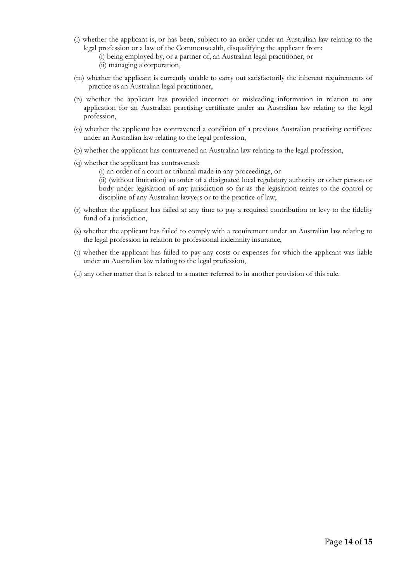- (l) whether the applicant is, or has been, subject to an order under an [Australian law relating to the](http://www.austlii.edu.au/au/legis/nsw/consol_reg/lpugr2015372/s5.html#australian_law_relating_to_the_legal_profession)  [legal profession](http://www.austlii.edu.au/au/legis/nsw/consol_reg/lpugr2015372/s5.html#australian_law_relating_to_the_legal_profession) or a law of the Commonwealth, disqualifying the applicant from:
	- (i) being employed by, or a partner of, an Australian legal practitioner, or
	- (ii) managing a corporation,
- (m) whether the applicant is currently unable to carry out satisfactorily the inherent requirements of practice as an Australian legal practitioner,
- (n) whether the applicant has provided incorrect or misleading information in relation to any application for an Australian practising certificate under an [Australian law relating to the legal](http://www.austlii.edu.au/au/legis/nsw/consol_reg/lpugr2015372/s5.html#australian_law_relating_to_the_legal_profession)  [profession,](http://www.austlii.edu.au/au/legis/nsw/consol_reg/lpugr2015372/s5.html#australian_law_relating_to_the_legal_profession)
- (o) whether the applicant has contravened a condition of a previous Australian practising certificate under an [Australian law relating to the legal profession,](http://www.austlii.edu.au/au/legis/nsw/consol_reg/lpugr2015372/s5.html#australian_law_relating_to_the_legal_profession)
- (p) whether the applicant has contravened an [Australian law relating to the legal profession,](http://www.austlii.edu.au/au/legis/nsw/consol_reg/lpugr2015372/s5.html#australian_law_relating_to_the_legal_profession)
- (q) whether the applicant has contravened:
	- (i) an order of a court or tribunal made in any proceedings, or

(ii) (without limitation) an order of a [designated local regulatory authority](http://www.austlii.edu.au/au/legis/nsw/consol_reg/lpugr2015372/s5.html#designated_local_regulatory_authority) or other person or body under legislation of any jurisdiction so far as the legislation relates to the control or discipline of any Australian lawyers or to the practice of law,

- (r) whether the applicant has failed at any time to pay a required contribution or levy to the fidelity fund of a jurisdiction,
- (s) whether the applicant has failed to comply with a requirement under an [Australian law relating to](http://www.austlii.edu.au/au/legis/nsw/consol_reg/lpugr2015372/s5.html#australian_law_relating_to_the_legal_profession)  [the legal profession](http://www.austlii.edu.au/au/legis/nsw/consol_reg/lpugr2015372/s5.html#australian_law_relating_to_the_legal_profession) in relation to professional indemnity insurance,
- (t) whether the applicant has failed to pay any costs or expenses for which the applicant was liable under an [Australian law relating to the legal profession,](http://www.austlii.edu.au/au/legis/nsw/consol_reg/lpugr2015372/s5.html#australian_law_relating_to_the_legal_profession)
- (u) any other matter that is related to a matter referred to in another provision of this rule.